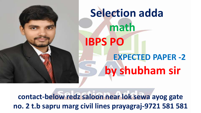

**contact-below redz saloon near lok sewa ayog gate no. 2 t.b sapru marg civil lines prayagraj-9721 581 581**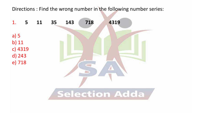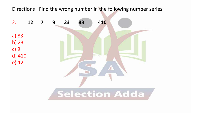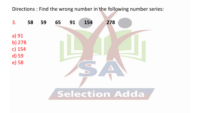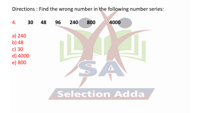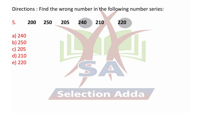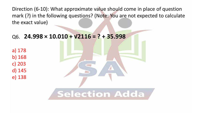Direction (6-10): What approximate value should come in place of question mark (?) in the following questions? (Note: You are not expected to calculate the exact value)

## Q6. **24.998 × 10.010 + √2116 = ? + 35.998**

- a) 178 b) 168 c) 203 d) 145
- e) 138

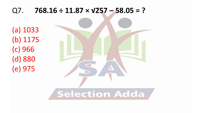# Q7. **768.16 ÷ 11.87 × √257 – 58.05 = ?**

(a) 1033 (b) 1175 (c) 966 (d) 880 (e) 975

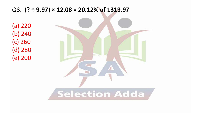# Q8. **(? ÷ 9.97) × 12.08 = 20.12% of 1319.97**

(a) 220 (b) 240 (c) 260 (d) 280 (e) 200

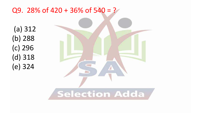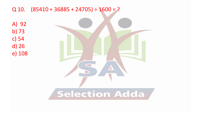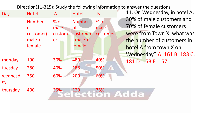| <b>Days</b>   | <b>Hotel</b>  | $\mathsf{A}$ | <b>Hotel</b>  | B        | 11. On Wednesday, in hotel A, |
|---------------|---------------|--------------|---------------|----------|-------------------------------|
|               | <b>Number</b> | $%$ of       | <b>Number</b> | $%$ of   | 30% of male customers and     |
|               | <b>of</b>     | male         | of            | male     | 70% of female customers       |
|               | customer(     | custom       | customer      | customer | were from Town X, what was    |
|               | $male +$      | er           | $(male +$     |          | the number of customers in    |
|               | female        |              | female        |          | hotel A from town X on        |
|               |               |              |               |          | Wednesday? A. 161 B. 183 C.   |
| monday        | 190           | 30%          | 480           | 40%      | 181 D. 153 E. 157             |
| tuesday       | 280           | 40%          | 188           | 50%      |                               |
| wednesd<br>ay | 350           | 60%          | 200           | 60%      |                               |
| thursday      | 400           | 35%          | 120           | 75%      | Adda                          |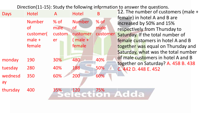| <b>Days</b>   | <b>Hotel</b>                                                  | $\mathsf{A}$                   | <b>Hotel</b>                                                  | B                          | 12. The number of customers (male +<br>female) in hotel A and B are                                                                                                                                             |
|---------------|---------------------------------------------------------------|--------------------------------|---------------------------------------------------------------|----------------------------|-----------------------------------------------------------------------------------------------------------------------------------------------------------------------------------------------------------------|
|               | <b>Number</b><br><b>of</b><br>customer(<br>$male +$<br>female | $%$ of<br>male<br>custom<br>er | <b>Number</b><br><u>of</u><br>customer<br>$(male +$<br>female | $%$ of<br>male<br>customer | increased by 50% and 15%<br>respectively from Thursday to<br>Saturday. If the total number of<br>female customers in hotel A and B<br>together was equal on Thursday and<br>Saturday, what was the total number |
| monday        | 190                                                           | 30%                            | 480                                                           | 40%                        | of male customers in hotel A and B<br>together on Saturday? A. 458 B. 438                                                                                                                                       |
| tuesday       | 280                                                           | 40%                            | 188                                                           | 50%                        | C. 442 D. 448 E. 452                                                                                                                                                                                            |
| wednesd<br>ay | 350                                                           | 60%                            | 200                                                           | 60%                        |                                                                                                                                                                                                                 |
| thursday      | 400                                                           | 35%                            | 120                                                           | 75%<br>$\bullet$           | Adda                                                                                                                                                                                                            |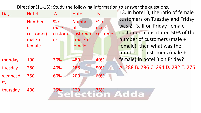| <b>Days</b>   | <b>Hotel</b>  | $\mathsf{A}$ | <b>Hotel</b>  | B        | 13. In hotel B, the ratio of female |
|---------------|---------------|--------------|---------------|----------|-------------------------------------|
|               | <b>Number</b> | $%$ of       | <b>Number</b> | $%$ of   | customers on Tuesday and Friday     |
|               | <b>of</b>     | male         | 0f            | male     | was 2:3. If on Friday, female       |
|               | customer(     | custom       | customer      | customer | customers constituted 50% of the    |
|               | $male +$      | er           | $(male +$     |          | number of customers (male +         |
|               | female        |              | female        |          | female), then what was the          |
|               |               |              |               |          | number of customers (male +         |
| monday        | 190           | 30%          | 480           | 40%      | female) in hotel B on Friday?       |
| tuesday       | 280           | 40%          | 188           | 50%      | A. 288 B. 296 C. 294 D. 282 E. 276  |
| wednesd<br>ay | 350           | 60%          | 200           | 60%      |                                     |
| thursday      | 400           | 35%          | 120           | 75%      | Adda                                |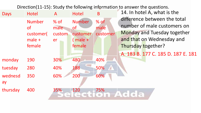| <b>Days</b>   | <b>Hotel</b>                                                  | $\mathsf{A}$                   | <b>Hotel</b>                                                  | B                          | 14. In hotel A, what is the                                                                                                                                                                |
|---------------|---------------------------------------------------------------|--------------------------------|---------------------------------------------------------------|----------------------------|--------------------------------------------------------------------------------------------------------------------------------------------------------------------------------------------|
|               | <b>Number</b><br><b>of</b><br>customer(<br>$male +$<br>female | $%$ of<br>male<br>custom<br>er | <b>Number</b><br><b>of</b><br>customer<br>$(male +$<br>female | $%$ of<br>male<br>customer | difference between the total<br>number of male customers on<br><b>Monday and Tuesday together</b><br>and that on Wednesday and<br>Thursday together?<br>A. 183 B. 177 C. 185 D. 187 E. 181 |
| monday        | 190                                                           | 30%                            | 480                                                           | 40%                        |                                                                                                                                                                                            |
| tuesday       | 280                                                           | 40%                            | 188                                                           | 50%                        |                                                                                                                                                                                            |
| wednesd<br>ay | 350                                                           | 60%                            | 200                                                           | 60%                        |                                                                                                                                                                                            |
| thursday      | 400                                                           | 35%<br>$\leftarrow$            | 120                                                           | 75%                        | Adda                                                                                                                                                                                       |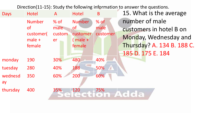| <b>Days</b>   | <b>Hotel</b>          | $\mathsf{A}$ | <b>Hotel</b>          | B                | 15. What is the average    |
|---------------|-----------------------|--------------|-----------------------|------------------|----------------------------|
|               | <b>Number</b>         | $%$ of       | <b>Number</b>         | $%$ of           | number of male             |
|               | <b>of</b>             | male         | 0f                    | male             | customers in hotel B on    |
|               | customer(<br>$male +$ | custom<br>er | customer<br>$(male +$ | customer         | Monday, Wednesday and      |
|               | female                |              | female                |                  | Thursday? A. 134 B. 188 C. |
|               |                       |              |                       |                  | 185 D. 175 E. 184          |
| monday        | 190                   | 30%          | 480                   | 40%              |                            |
| tuesday       | 280                   | 40%          | 188                   | 50%              |                            |
| wednesd<br>ay | 350                   | 60%          | 200                   | 60%              |                            |
| thursday      | 400                   | 35%          | 120                   | 75%<br>$\bullet$ | Adda                       |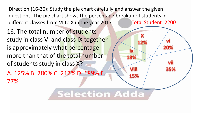**Selection Adda** 

16. The total number of students study in class VI and class IX together is approximately what percentage more than that of the total number of students study in class X?

A. 125% B. 280% C. 217% D. 189% E. 77%

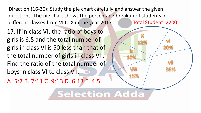17. If in class VI, the ratio of boys to girls is 6:5 and the total number of girls in class VI is 50 less than that of the total number of girls in class VII. Find the ratio of the total number of boys in class VI to class VII.

A. 5:7 B. 7:11 C. 9:13 D. 6:13 E. 4:5

**Selection Adda** 

20%

35%

**IX** 

18%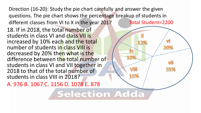**Selection Adda** 

20%

35%

X

18%

18. If in 2018, the total number of students in class VI and class VII is increased by 10% each and the total number of students in class VIII is decreased by 20% then what is the difference between the total number of students in class VI and VII together in 2018 to that of the total number of students in class VIII in 2018?

A. 976 B. 1067 C. 1156 D. 1078 E. 878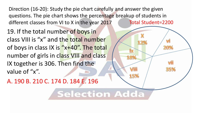19. If the total number of boys in class VIII is "x" and the total number of boys in class IX is " $x+40$ ". The total number of girls in class VIII and class IX together is 306. Then find the value of "x".

A. 190 B. 210 C. 174 D. 184 E. 196

**Selection Adda** 

20%

35%

**IX** 

18%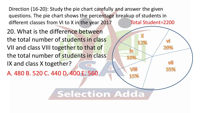**Selection Adda** 

20%

35%

**IX** 

18%

5%

20. What is the difference between the total number of students in class VII and class VIII together to that of the total number of students in class IX and class X together?

A. 480 B. 520 C. 440 D. 400 E. 560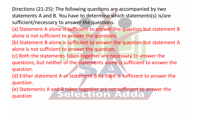Directions (21-25): The following questions are accompanied by two statements A and B. You have to determine which statements(s) is/are sufficient/necessary to answer the questions.

- (a) Statement A alone is sufficient to answer the question but statement B alone is not sufficient to answer the questions.
- (b) Statement B alone is sufficient to answer the question but statement A alone is not sufficient to answer the question.
- (c) Both the statements taken together are necessary to answer the questions, but neither of the statements alone is sufficient to answer the question.
- (d) Either statement A or statement B by itself is sufficient to answer the question.
- (e) Statements A and B taken together are not sufficient to answer the question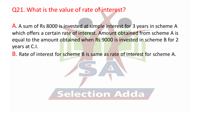## Q21. What is the value of rate of interest?

A. A sum of Rs 8000 is invested at simple interest for 3 years in scheme A which offers a certain rate of interest. Amount obtained from scheme A is equal to the amount obtained when Rs 9000 is invested in scheme B for 2 years at C.I.

B. Rate of interest for scheme B is same as rate of interest for scheme A.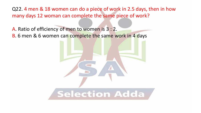Q22. 4 men & 18 women can do a piece of work in 2.5 days, then in how many days 12 woman can complete the same piece of work?

A. Ratio of efficiency of men to women is 3 : 2. B. 6 men & 6 women can complete the same work in 4 days

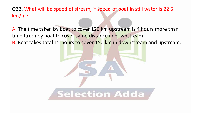Q23. What will be speed of stream, if speed of boat in still water is 22.5 km/hr?

A. The time taken by boat to cover 120 km upstream is 4 hours more than time taken by boat to cover same distance in downstream.

B. Boat takes total 15 hours to cover 150 km in downstream and upstream.

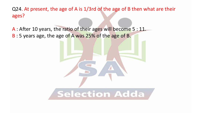Q24. At present, the age of A is 1/3rd of the age of B then what are their ages?

A : After 10 years, the ratio of their ages will become 5 : 11. B : 5 years age, the age of A was 25% of the age of B.

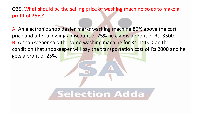Q25. What should be the selling price of washing machine so as to make a profit of 25%?

A: An electronic shop dealer marks washing machine 80% above the cost price and after allowing a discount of 25% he claims a profit of Rs. 3500. B: A shopkeeper sold the same washing machine for Rs. 15000 on the condition that shopkeeper will pay the transportation cost of Rs 2000 and he gets a profit of 25%.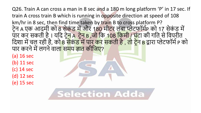Q26. Train A can cross a man in 8 sec and a 180 m long platform 'P' in 17 sec. If train A cross train B which is running in opposite direction at speed of 108 km/hr in 8 sec, then find time taken by train B to cross platform P? टेन A एक आदमी को 8 सेकंड में और 180 मीटर लंबा प्लेटफॉर्मP को 17 सेकंड में पार कर सकती है। यदद ट्रेन A ट्रेन B ,जो दक 108 दकमी / घंट्ा की गदत सेदिपरीत दिशा में चल रही है, क<mark>ो 8 सेकंड में पार कर सकती है , तो ट्रेन B</mark> द्वारा प्लेटफॉर्म P को पार करने में लगने वाल<mark>ा समय ज्ञात कीजिए</mark>?

(a) 16 sec (b) 11 sec (c) 14 sec (d) 12 sec

(e) 15 sec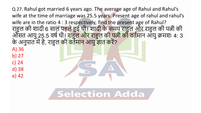Q 27. Rahul got married 6 years ago. The average age of Rahul and Rahul's wife at the time of marriage was 25.5 years. Present age of rahul and rahul's wife are in the ratio 4 : 3 respectively, find the present age of Rahul? राहुल की शादी 6 साल पहले हुई थी। शादी के समय राहुल और राहुल की पत्नी की <u>आसत आयु 25.5 वर्ष थी। राहुल और राहुल की पत्नी की वर्तमान आयु क्रमशः 4: 3</u> के अनुपात में हैं, राहुल की वर्तमान आयु <mark>ज्ञात क</mark>रें?

A) 36 b) 27 c) 24

d) 38

e) 42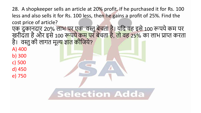28. A shopkeeper sells an article at 20% profit. If he purchased it for Rs. 100 less and also sells it for Rs. 100 less, then he gains a profit of 25%. Find the cost price of article?

एक दुकानदार 20% लाभ पर एक वस्तु बेचता है। यदि वह इसे 100 रूपये कम पर खरीदता है और इसे 100 र<mark>ूपये कम पर बेचता है, तो वह 25%</mark> का लाभ प्राप्त करता है। वस्तु की लागत मूल्<mark>य ज्ञात की</mark>जिये?

A) 400

b) 300

c) 500

d) 450

e) 750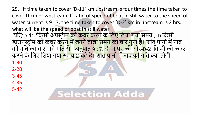29. If time taken to cover 'D-11' km upstream is four times the time taken to cover D km downstream. If ratio of speed of boat in still water to the speed of water current is 9 : 7. the time taken to cover 'D-2' km in upstream is 2 hrs. what will be the speed of boat in still water यदि'D-11 'किमी अपस्टी<del>म को कवर करने के लिए लिया गया</del> समय , D किमी डाउनस्ट्रीम को कवर करने में लगने वाला समय का चार गुना है। शांत पानी में नाव की गुति का धारा की ग<mark>ति से</mark> अनुपात 9 : 7. है ऊपर की ओर-D-2 'किमी को कवर करने के लिए लिया गय<mark>ा समय 2 घंटे है। शांत पानी में नाव की ग</mark>ति क्या होगी 1-30 2-20 3-45 4-35 5-42**Selection Adda**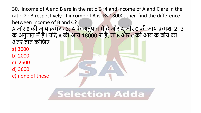30. Income of A and B are in the ratio 3 :4 and income of A and C are in the ratio 2 : 3 respectively. If income of A is Rs 18000, then find the difference between income of B and C? A और B की आय क्रमशः 3: 4 के अनुपात मेंहैऔर A और C की आय क्रमशः 2: 3 के अनुपात में हैं। यदि A की आय 18000 रु है, तो B और C की आय के बीच का अंतर ज्ञात कीजिए a) 3000 b) 2000 c) 2500 d) 3600 e) none of these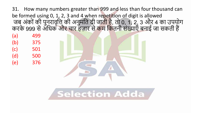31. How many numbers greater than 999 and less than four thousand can be formed using 0, 1, 2, 3 and 4 when repetition of digit is allowed जब अंकों की पुनुरावृत्ति की अनुमति दी जाती है, तो 0, 1, 2, 3 और 4 का उपयोग करके 999 से अधिक और चार हज़ार से कम कितनी संख्याएँ बनाई जा सकती हैं ।

(a) 499 (b) 375 (c) 501 (d) 500 (e) 376

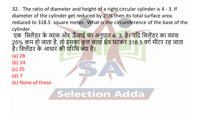32. The ratio of diameter and height of a right circular cylinder is 4 : 3. If diameter of the cylinder get reduced by 25% then its total surface area reduced to 318.5 square meter. What is the circumference of the base of the cylinder.

एक 'सिलेंडर के व्यास <u>और ऊँचाई का अनुपात 4: 3. है। यदि</u> सिलंडर का व्यास 25% कम हो जाता है, तो इसका कुल सतह क्षेत्र घटकर 318.5 वर्ग मीटर रह जाता है। सिलेंडर के आधार <mark>की परिधि क्या है।</mark>

(a) 28

(b) 14

(c) 35

(d) 7

(e) None of these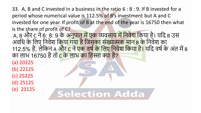33. A, B and C invested in a business in the ratio 6 : 8 : 9. If B invested for a period whose numerical value is 112.5% of B's investment but A and C invested for one year. If profit of B at the end of the year is 16750 then what is the share of profit of C? A, B और C ने 6: 8: 9 के अनुपात में एक व्यवसाय में निवेश किया है। यदि B उस अवधि के लिए निवेश किय<mark>ा गया है जिसका संख्यात्मक मान B के</mark> निवेश का 112.5% है, लेकिन A <mark>और C ने एक वर्ष के लिए निवेश किया है।</mark> यदि वर्ष के अंत में B का लाभ 16750 है तो C के लाभ का हिस्सा क्या है?

(a) 20225

(b) 22125

(c) 25225

(d) 25125

(e) 23125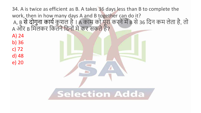34. A is twice as efficient as B. A takes 36 days less than B to complete the work, then in how many days A and B together can do it? A, B से दौगुना काये कुशल है । A काम को पूरा करने में B से 36 दिन कम लेता है, तो A और B मिलकर कितने दिनों में कर सकते हैं?

**Selection Adda** 

A) 24

b) 36

c) 72

d) 48

e) 20